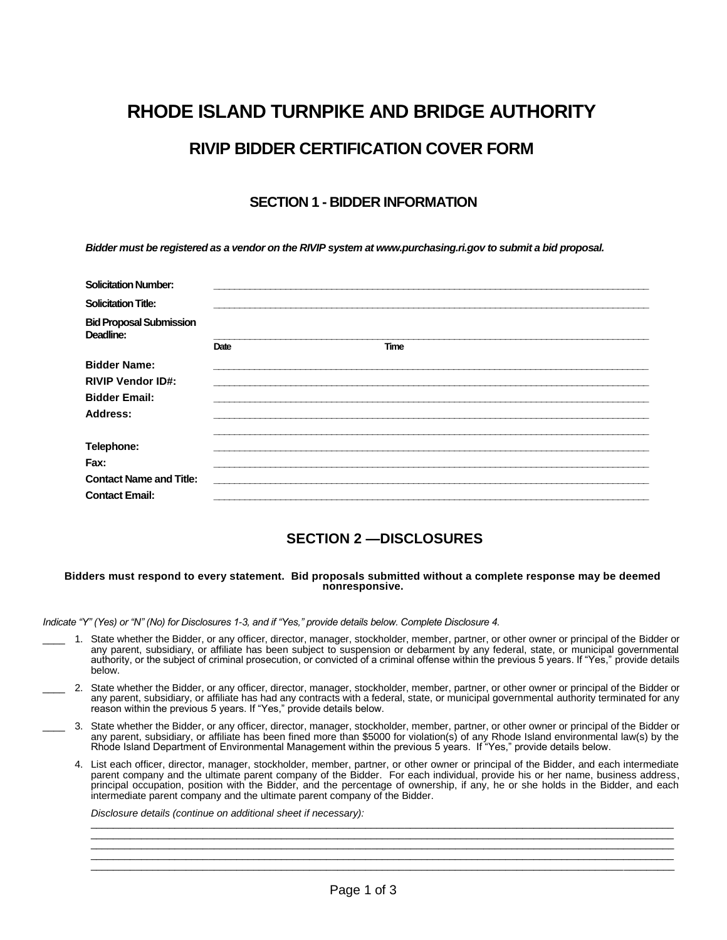# **RHODE ISLAND TURNPIKE AND BRIDGE AUTHORITY RIVIP BIDDER CERTIFICATION COVER FORM**

## **SECTION 1 - BIDDER INFORMATION**

*Bidder must be registered as a vendor on the RIVIP system at www.purchasing.ri.gov to submit a bid proposal.*

| <b>Solicitation Number:</b>                 |      |             |  |
|---------------------------------------------|------|-------------|--|
| <b>Solicitation Title:</b>                  |      |             |  |
| <b>Bid Proposal Submission</b><br>Deadline: |      |             |  |
|                                             | Date | <b>Time</b> |  |
| <b>Bidder Name:</b>                         |      |             |  |
| <b>RIVIP Vendor ID#:</b>                    |      |             |  |
| <b>Bidder Email:</b>                        |      |             |  |
| Address:                                    |      |             |  |
| Telephone:                                  |      |             |  |
| Fax:                                        |      |             |  |
| <b>Contact Name and Title:</b>              |      |             |  |
| <b>Contact Email:</b>                       |      |             |  |

## **SECTION 2 —DISCLOSURES**

#### **Bidders must respond to every statement. Bid proposals submitted without a complete response may be deemed nonresponsive.**

*Indicate "Y" (Yes) or "N" (No) for Disclosures 1-3, and if "Yes," provide details below. Complete Disclosure 4.*

- \_\_\_\_ 1. State whether the Bidder, or any officer, director, manager, stockholder, member, partner, or other owner or principal of the Bidder or any parent, subsidiary, or affiliate has been subject to suspension or debarment by any federal, state, or municipal governmental authority, or the subject of criminal prosecution, or convicted of a criminal offense within the previous 5 years. If "Yes," provide details below.
- \_\_\_\_ 2. State whether the Bidder, or any officer, director, manager, stockholder, member, partner, or other owner or principal of the Bidder or any parent, subsidiary, or affiliate has had any contracts with a federal, state, or municipal governmental authority terminated for any reason within the previous 5 years. If "Yes," provide details below.
- \_\_\_\_ 3. State whether the Bidder, or any officer, director, manager, stockholder, member, partner, or other owner or principal of the Bidder or any parent, subsidiary, or affiliate has been fined more than \$5000 for violation(s) of any Rhode Island environmental law(s) by the Rhode Island Department of Environmental Management within the previous 5 years. If "Yes," provide details below.
	- 4. List each officer, director, manager, stockholder, member, partner, or other owner or principal of the Bidder, and each intermediate parent company and the ultimate parent company of the Bidder. For each individual, provide his or her name, business address, principal occupation, position with the Bidder, and the percentage of ownership, if any, he or she holds in the Bidder, and each intermediate parent company and the ultimate parent company of the Bidder.

 $\Box$  . The contribution of the contribution of the contribution of the contribution of the contribution of the contribution of the contribution of the contribution of the contribution of the contribution of the contributi  $\Box$  . The contribution of the contribution of the contribution of the contribution of the contribution of the contribution of the contribution of the contribution of the contribution of the contribution of the contributi  $\Box$  . The contribution of the contribution of the contribution of the contribution of the contribution of the contribution of the contribution of the contribution of the contribution of the contribution of the contributi \_\_\_\_\_\_\_\_\_\_\_\_\_\_\_\_\_\_\_\_\_\_\_\_\_\_\_\_\_\_\_\_\_\_\_\_\_\_\_\_\_\_\_\_\_\_\_\_\_\_\_\_\_\_\_\_\_\_\_\_\_\_\_\_\_\_\_\_\_\_\_\_\_\_\_\_\_\_\_\_\_\_\_\_\_\_\_\_\_\_\_\_\_\_\_\_\_\_\_\_\_\_\_\_

*Disclosure details (continue on additional sheet if necessary):*  $\bot$  , and the state of the state of the state of the state of the state of the state of the state of the state of the state of the state of the state of the state of the state of the state of the state of the state of th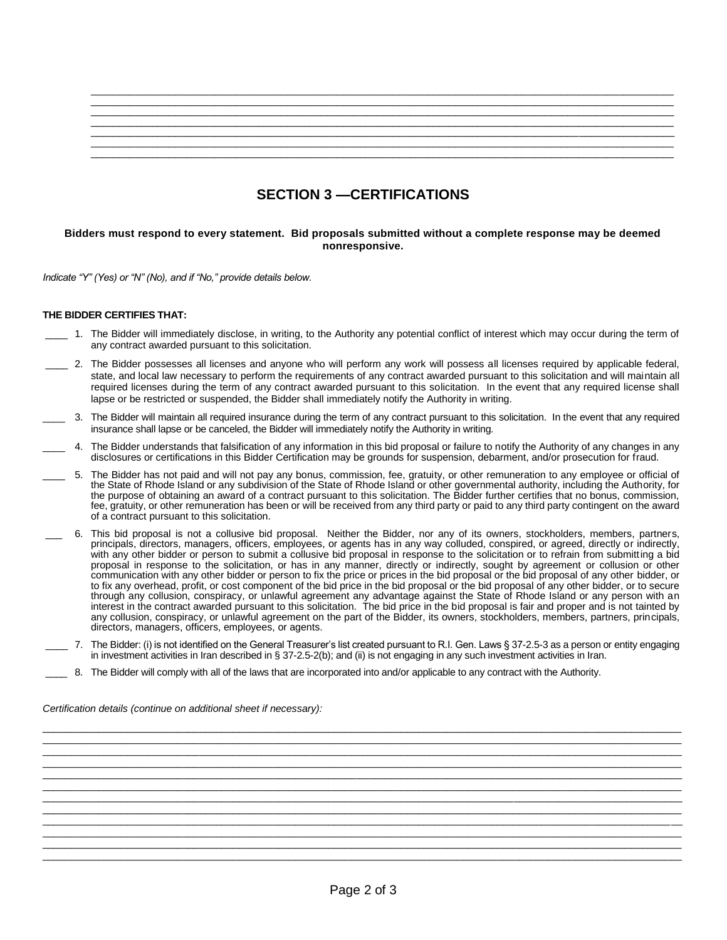## **SECTION 3 —CERTIFICATIONS**

#### **Bidders must respond to every statement. Bid proposals submitted without a complete response may be deemed nonresponsive.**

*Indicate "Y" (Yes) or "N" (No), and if "No," provide details below.*

#### **THE BIDDER CERTIFIES THAT:**

- \_\_\_\_ 1. The Bidder will immediately disclose, in writing, to the Authority any potential conflict of interest which may occur during the term of any contract awarded pursuant to this solicitation.
- \_\_\_\_ 2. The Bidder possesses all licenses and anyone who will perform any work will possess all licenses required by applicable federal, state, and local law necessary to perform the requirements of any contract awarded pursuant to this solicitation and will maintain all required licenses during the term of any contract awarded pursuant to this solicitation. In the event that any required license shall lapse or be restricted or suspended, the Bidder shall immediately notify the Authority in writing.
- \_\_\_\_ 3. The Bidder will maintain all required insurance during the term of any contract pursuant to this solicitation. In the event that any required insurance shall lapse or be canceled, the Bidder will immediately notify the Authority in writing.
- \_\_\_\_ 4. The Bidder understands that falsification of any information in this bid proposal or failure to notify the Authority of any changes in any disclosures or certifications in this Bidder Certification may be grounds for suspension, debarment, and/or prosecution for fraud.
- \_\_\_\_ 5. The Bidder has not paid and will not pay any bonus, commission, fee, gratuity, or other remuneration to any employee or official of the State of Rhode Island or any subdivision of the State of Rhode Island or other governmental authority, including the Authority, for the purpose of obtaining an award of a contract pursuant to this solicitation. The Bidder further certifies that no bonus, commission, fee, gratuity, or other remuneration has been or will be received from any third party or paid to any third party contingent on the award of a contract pursuant to this solicitation.
- \_\_\_ 6. This bid proposal is not a collusive bid proposal. Neither the Bidder, nor any of its owners, stockholders, members, partners, principals, directors, managers, officers, employees, or agents has in any way colluded, conspired, or agreed, directly or indirectly, with any other bidder or person to submit a collusive bid proposal in response to the solicitation or to refrain from submitting a bid proposal in response to the solicitation, or has in any manner, directly or indirectly, sought by agreement or collusion or other communication with any other bidder or person to fix the price or prices in the bid proposal or the bid proposal of any other bidder, or to fix any overhead, profit, or cost component of the bid price in the bid proposal or the bid proposal of any other bidder, or to secure through any collusion, conspiracy, or unlawful agreement any advantage against the State of Rhode Island or any person with an interest in the contract awarded pursuant to this solicitation. The bid price in the bid proposal is fair and proper and is not tainted by any collusion, conspiracy, or unlawful agreement on the part of the Bidder, its owners, stockholders, members, partners, principals, directors, managers, officers, employees, or agents.
- \_\_\_\_ 7. The Bidder: (i) is not identified on the General Treasurer's list created pursuant to R.I. Gen. Laws § 37-2.5-3 as a person or entity engaging in investment activities in Iran described in § 37-2.5-2(b); and (ii) is not engaging in any such investment activities in Iran.

\_\_\_\_\_\_\_\_\_\_\_\_\_\_\_\_\_\_\_\_\_\_\_\_\_\_\_\_\_\_\_\_\_\_\_\_\_\_\_\_\_\_\_\_\_\_\_\_\_\_\_\_\_\_\_\_\_\_\_\_\_\_\_\_\_\_\_\_\_\_\_\_\_\_\_\_\_\_\_\_\_\_\_\_\_\_\_\_\_\_\_\_\_\_\_\_\_\_\_\_\_\_\_\_\_\_\_\_\_\_\_\_\_\_ \_\_\_\_\_\_\_\_\_\_\_\_\_\_\_\_\_\_\_\_\_\_\_\_\_\_\_\_\_\_\_\_\_\_\_\_\_\_\_\_\_\_\_\_\_\_\_\_\_\_\_\_\_\_\_\_\_\_\_\_\_\_\_\_\_\_\_\_\_\_\_\_\_\_\_\_\_\_\_\_\_\_\_\_\_\_\_\_\_\_\_\_\_\_\_\_\_\_\_\_\_\_\_\_\_\_\_\_\_\_\_\_\_\_ \_\_\_\_\_\_\_\_\_\_\_\_\_\_\_\_\_\_\_\_\_\_\_\_\_\_\_\_\_\_\_\_\_\_\_\_\_\_\_\_\_\_\_\_\_\_\_\_\_\_\_\_\_\_\_\_\_\_\_\_\_\_\_\_\_\_\_\_\_\_\_\_\_\_\_\_\_\_\_\_\_\_\_\_\_\_\_\_\_\_\_\_\_\_\_\_\_\_\_\_\_\_\_\_\_\_\_\_\_\_\_\_\_\_ \_\_\_\_\_\_\_\_\_\_\_\_\_\_\_\_\_\_\_\_\_\_\_\_\_\_\_\_\_\_\_\_\_\_\_\_\_\_\_\_\_\_\_\_\_\_\_\_\_\_\_\_\_\_\_\_\_\_\_\_\_\_\_\_\_\_\_\_\_\_\_\_\_\_\_\_\_\_\_\_\_\_\_\_\_\_\_\_\_\_\_\_\_\_\_\_\_\_\_\_\_\_\_\_\_\_\_\_\_\_\_\_\_\_ \_\_\_\_\_\_\_\_\_\_\_\_\_\_\_\_\_\_\_\_\_\_\_\_\_\_\_\_\_\_\_\_\_\_\_\_\_\_\_\_\_\_\_\_\_\_\_\_\_\_\_\_\_\_\_\_\_\_\_\_\_\_\_\_\_\_\_\_\_\_\_\_\_\_\_\_\_\_\_\_\_\_\_\_\_\_\_\_\_\_\_\_\_\_\_\_\_\_\_\_\_\_\_\_\_\_\_\_\_\_\_\_\_\_ \_\_\_\_\_\_\_\_\_\_\_\_\_\_\_\_\_\_\_\_\_\_\_\_\_\_\_\_\_\_\_\_\_\_\_\_\_\_\_\_\_\_\_\_\_\_\_\_\_\_\_\_\_\_\_\_\_\_\_\_\_\_\_\_\_\_\_\_\_\_\_\_\_\_\_\_\_\_\_\_\_\_\_\_\_\_\_\_\_\_\_\_\_\_\_\_\_\_\_\_\_\_\_\_\_\_\_\_\_\_\_\_\_\_ \_\_\_\_\_\_\_\_\_\_\_\_\_\_\_\_\_\_\_\_\_\_\_\_\_\_\_\_\_\_\_\_\_\_\_\_\_\_\_\_\_\_\_\_\_\_\_\_\_\_\_\_\_\_\_\_\_\_\_\_\_\_\_\_\_\_\_\_\_\_\_\_\_\_\_\_\_\_\_\_\_\_\_\_\_\_\_\_\_\_\_\_\_\_\_\_\_\_\_\_\_\_\_\_\_\_\_\_\_\_\_\_\_\_ \_\_\_\_\_\_\_\_\_\_\_\_\_\_\_\_\_\_\_\_\_\_\_\_\_\_\_\_\_\_\_\_\_\_\_\_\_\_\_\_\_\_\_\_\_\_\_\_\_\_\_\_\_\_\_\_\_\_\_\_\_\_\_\_\_\_\_\_\_\_\_\_\_\_\_\_\_\_\_\_\_\_\_\_\_\_\_\_\_\_\_\_\_\_\_\_\_\_\_\_\_\_\_\_\_\_\_\_\_\_\_\_\_\_ \_\_\_\_\_\_\_\_\_\_\_\_\_\_\_\_\_\_\_\_\_\_\_\_\_\_\_\_\_\_\_\_\_\_\_\_\_\_\_\_\_\_\_\_\_\_\_\_\_\_\_\_\_\_\_\_\_\_\_\_\_\_\_\_\_\_\_\_\_\_\_\_\_\_\_\_\_\_\_\_\_\_\_\_\_\_\_\_\_\_\_\_\_\_\_\_\_\_\_\_\_\_\_\_\_\_\_\_\_\_\_\_\_\_ \_\_\_\_\_\_\_\_\_\_\_\_\_\_\_\_\_\_\_\_\_\_\_\_\_\_\_\_\_\_\_\_\_\_\_\_\_\_\_\_\_\_\_\_\_\_\_\_\_\_\_\_\_\_\_\_\_\_\_\_\_\_\_\_\_\_\_\_\_\_\_\_\_\_\_\_\_\_\_\_\_\_\_\_\_\_\_\_\_\_\_\_\_\_\_\_\_\_\_\_\_\_\_\_\_\_\_\_\_\_\_\_\_\_ \_\_\_\_\_\_\_\_\_\_\_\_\_\_\_\_\_\_\_\_\_\_\_\_\_\_\_\_\_\_\_\_\_\_\_\_\_\_\_\_\_\_\_\_\_\_\_\_\_\_\_\_\_\_\_\_\_\_\_\_\_\_\_\_\_\_\_\_\_\_\_\_\_\_\_\_\_\_\_\_\_\_\_\_\_\_\_\_\_\_\_\_\_\_\_\_\_\_\_\_\_\_\_\_\_\_\_\_\_\_\_\_\_\_ \_\_\_\_\_\_\_\_\_\_\_\_\_\_\_\_\_\_\_\_\_\_\_\_\_\_\_\_\_\_\_\_\_\_\_\_\_\_\_\_\_\_\_\_\_\_\_\_\_\_\_\_\_\_\_\_\_\_\_\_\_\_\_\_\_\_\_\_\_\_\_\_\_\_\_\_\_\_\_\_\_\_\_\_\_\_\_\_\_\_\_\_\_\_\_\_\_\_\_\_\_\_\_\_\_\_\_\_\_\_\_\_\_\_

\_\_\_\_ 8. The Bidder will comply with all of the laws that are incorporated into and/or applicable to any contract with the Authority.

*Certification details (continue on additional sheet if necessary):*